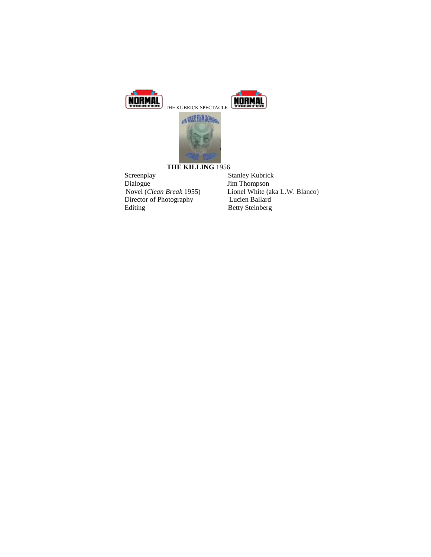





**Screenplay THE KILLING** 1956 Screenplay Stanley Kubrick<br>Dialogue Jim Thompson Director of Photography<br>Editing

Jim Thompson Novel (*Clean Break* 1955) Lionel White (aka L.W. Blanco) Betty Steinberg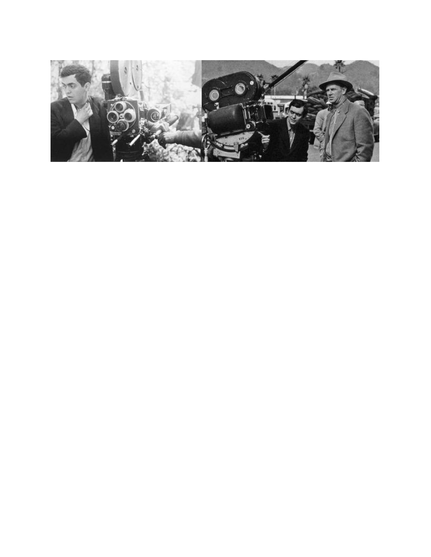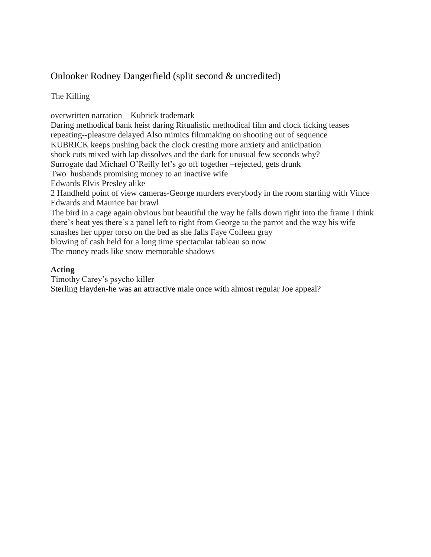## Onlooker Rodney Dangerfield (split second & uncredited)

The Killing

overwritten narration—Kubrick trademark Daring methodical bank heist daring Ritualistic methodical film and clock ticking teases repeating--pleasure delayed Also mimics filmmaking on shooting out of sequence KUBRICK keeps pushing back the clock cresting more anxiety and anticipation shock cuts mixed with lap dissolves and the dark for unusual few seconds why? Surrogate dad Michael O'Reilly let's go off together –rejected, gets drunk Two husbands promising money to an inactive wife Edwards Elvis Presley alike 2 Handheld point of view cameras-George murders everybody in the room starting with Vince Edwards and Maurice bar brawl The bird in a cage again obvious but beautiful the way he falls down right into the frame I think there's heat yes there's a panel left to right from George to the parrot and the way his wife smashes her upper torso on the bed as she falls Faye Colleen gray blowing of cash held for a long time spectacular tableau so now The money reads like snow memorable shadows

#### **Acting**

Timothy Carey's psycho killer Sterling Hayden-he was an attractive male once with almost regular Joe appeal?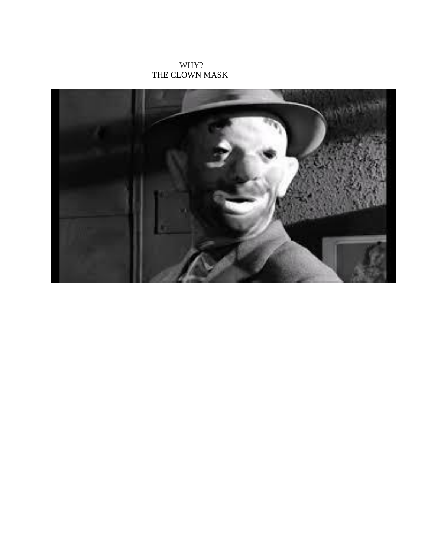WHY? THE CLOWN MASK

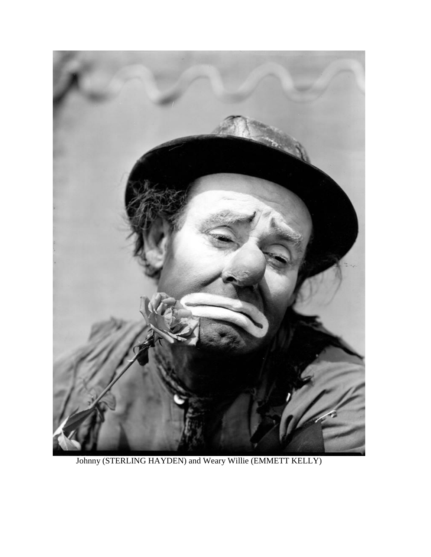

Johnny (STERLING HAYDEN) and Weary Willie (EMMETT KELLY)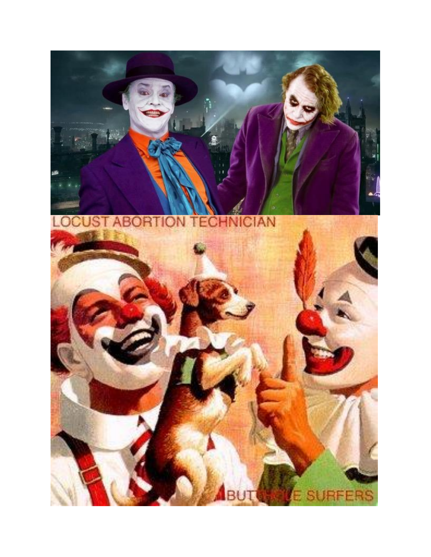

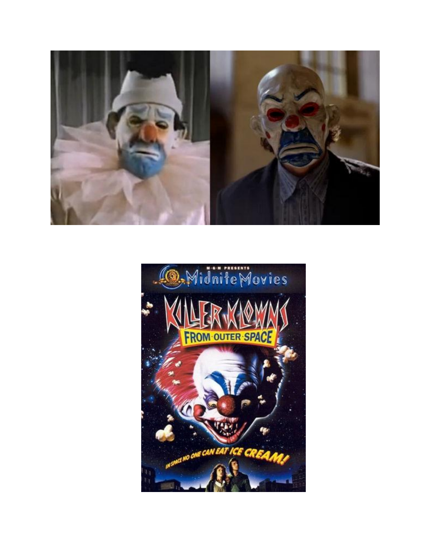

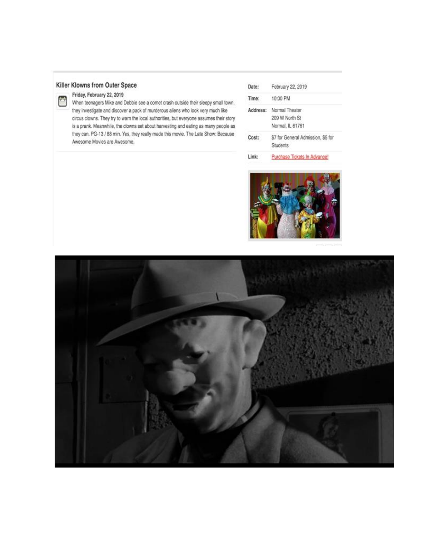#### Killer Klowns from Outer Space

Friday, February 22, 2019  $\frac{1}{2}$ 

When teenagers Mike and Debbie see a comet crash outside their sleepy small town, they investigate and discover a pack of murderous aliens who look very much like circus clowns. They try to warn the local authorities, but everyone assumes their story is a prank. Meanwhile, the clowns set about harvesting and eating as many people as they can. PG-13 / 88 min. Yes, they really made this movie. The Late Show: Because Awesome Movies are Awesome.

| Date: | February 22, 2019                                             |
|-------|---------------------------------------------------------------|
| Time: | 10:00 PM                                                      |
|       | Address: Normal Theater<br>209 W North St<br>Normal, IL 61761 |
| Cost: | \$7 for General Admission, \$5 for<br>Students                |
| Link: | Purchase Tickets In Advance!                                  |



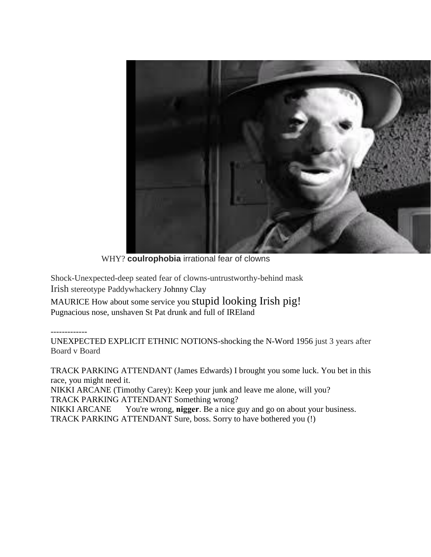

WHY? **coulrophobia** irrational fear of clowns

Shock-Unexpected-deep seated fear of clowns-untrustworthy-behind mask Irish stereotype Paddywhackery Johnny Clay

MAURICE How about some service you stupid looking Irish pig! Pugnacious nose, unshaven St Pat drunk and full of IREland

-------------

UNEXPECTED EXPLICIT ETHNIC NOTIONS-shocking the N-Word 1956 just 3 years after Board v Board

TRACK PARKING ATTENDANT (James Edwards) I brought you some luck. You bet in this race, you might need it.

NIKKI ARCANE (Timothy Carey): Keep your junk and leave me alone, will you? TRACK PARKING ATTENDANT Something wrong?

NIKKI ARCANE You're wrong, **nigger**. Be a nice guy and go on about your business. TRACK PARKING ATTENDANT Sure, boss. Sorry to have bothered you (!)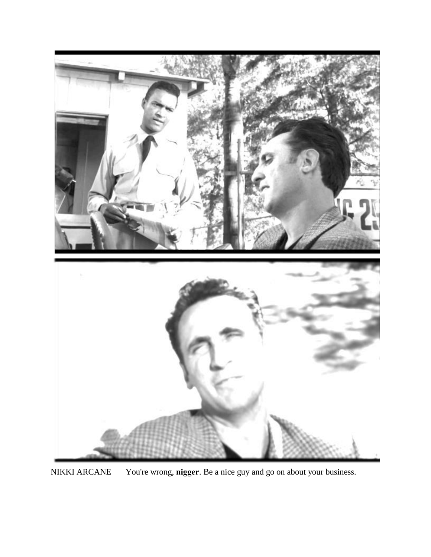

NIKKI ARCANE You're wrong, **nigger**. Be a nice guy and go on about your business.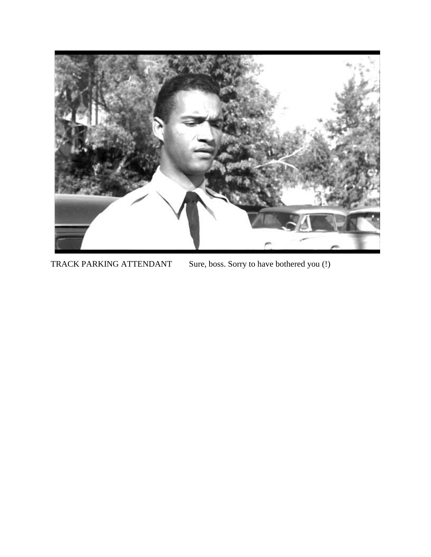

TRACK PARKING ATTENDANT Sure, boss. Sorry to have bothered you (!)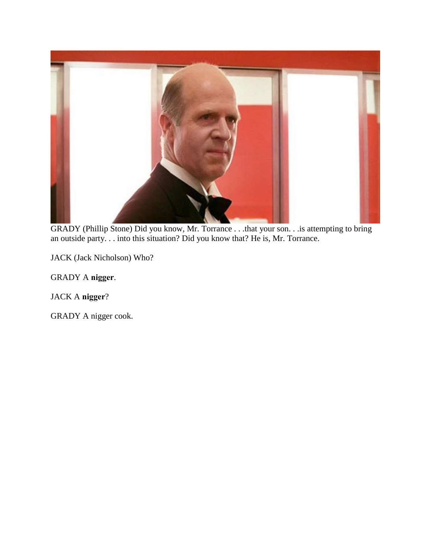

GRADY (Phillip Stone) Did you know, Mr. Torrance . . .that your son. . .is attempting to bring an outside party. . . into this situation? Did you know that? He is, Mr. Torrance.

JACK (Jack Nicholson) Who?

GRADY A **nigger**.

JACK A **nigger**?

GRADY A nigger cook.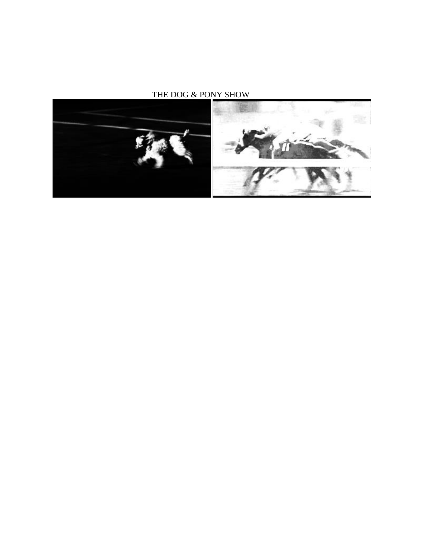# THE DOG & PONY SHOW

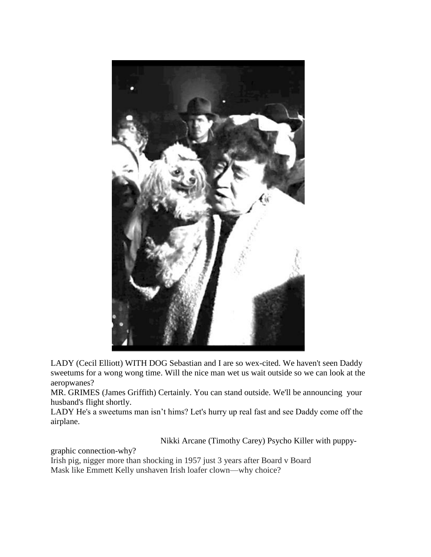

LADY (Cecil Elliott) WITH DOG Sebastian and I are so wex-cited. We haven't seen Daddy sweetums for a wong wong time. Will the nice man wet us wait outside so we can look at the aeropwanes?

MR. GRIMES (James Griffith) Certainly. You can stand outside. We'll be announcing your husband's flight shortly.

LADY He's a sweetums man isn't hims? Let's hurry up real fast and see Daddy come off the airplane.

Nikki Arcane (Timothy Carey) Psycho Killer with puppy-

graphic connection-why?

Irish pig, nigger more than shocking in 1957 just 3 years after Board v Board Mask like Emmett Kelly unshaven Irish loafer clown—why choice?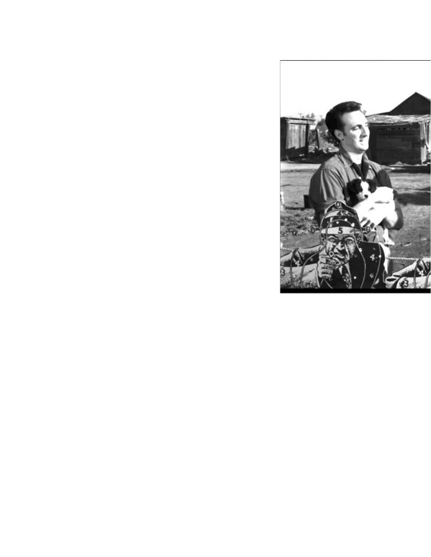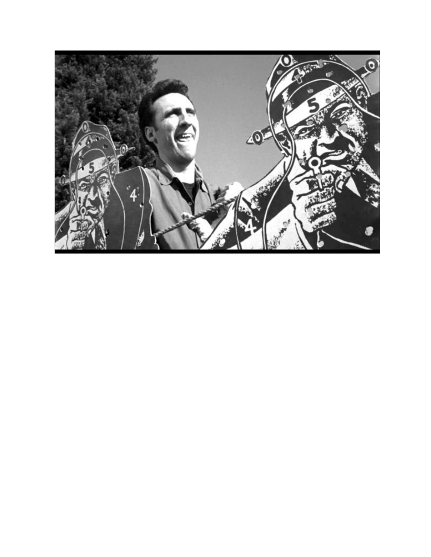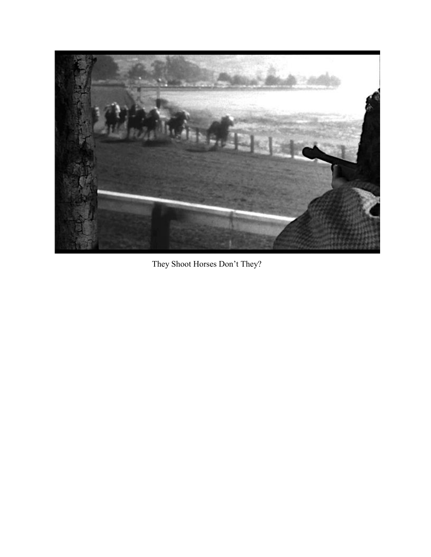

They Shoot Horses Don't They?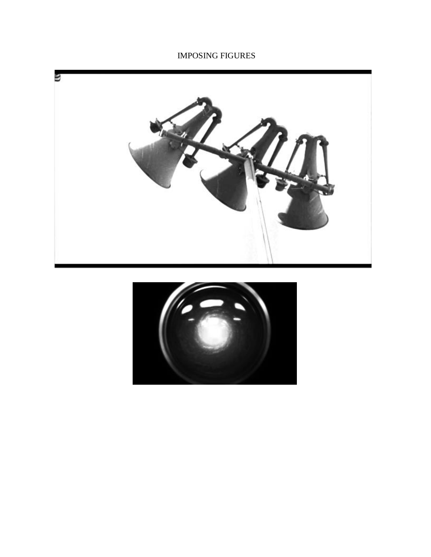### IMPOSING FIGURES



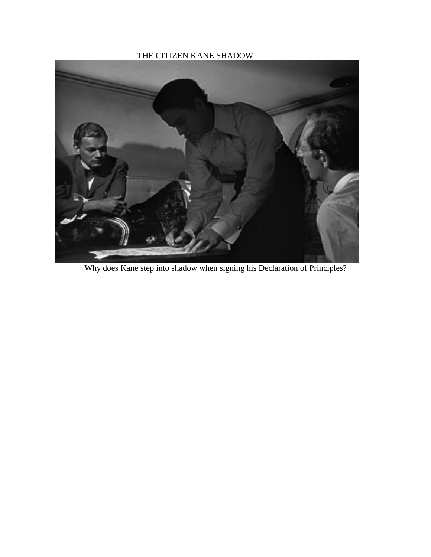# THE CITIZEN KANE SHADOW



Why does Kane step into shadow when signing his Declaration of Principles?